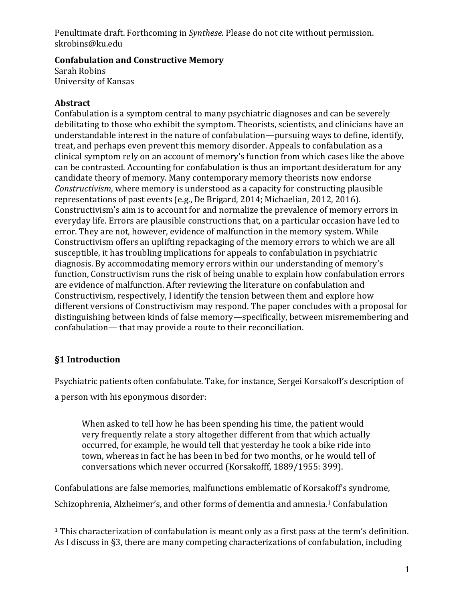#### **Confabulation and Constructive Memory**

Sarah Robins University of Kansas

### **Abstract**

Confabulation is a symptom central to many psychiatric diagnoses and can be severely debilitating to those who exhibit the symptom. Theorists, scientists, and clinicians have an understandable interest in the nature of confabulation—pursuing ways to define, identify, treat, and perhaps even prevent this memory disorder. Appeals to confabulation as a clinical symptom rely on an account of memory's function from which cases like the above can be contrasted. Accounting for confabulation is thus an important desideratum for any candidate theory of memory. Many contemporary memory theorists now endorse *Constructivism*, where memory is understood as a capacity for constructing plausible representations of past events (e.g., De Brigard, 2014; Michaelian, 2012, 2016). Constructivism's aim is to account for and normalize the prevalence of memory errors in everyday life. Errors are plausible constructions that, on a particular occasion have led to error. They are not, however, evidence of malfunction in the memory system. While Constructivism offers an uplifting repackaging of the memory errors to which we are all susceptible, it has troubling implications for appeals to confabulation in psychiatric diagnosis. By accommodating memory errors within our understanding of memory's function, Constructivism runs the risk of being unable to explain how confabulation errors are evidence of malfunction. After reviewing the literature on confabulation and Constructivism, respectively, I identify the tension between them and explore how different versions of Constructivism may respond. The paper concludes with a proposal for distinguishing between kinds of false memory—specifically, between misremembering and confabulation— that may provide a route to their reconciliation.

# **§1 Introduction**

Psychiatric patients often confabulate. Take, for instance, Sergei Korsakoff's description of

a person with his eponymous disorder:

 

When asked to tell how he has been spending his time, the patient would very frequently relate a story altogether different from that which actually occurred, for example, he would tell that yesterday he took a bike ride into town, whereas in fact he has been in bed for two months, or he would tell of conversations which never occurred (Korsakofff, 1889/1955: 399).

Confabulations are false memories, malfunctions emblematic of Korsakoff's syndrome,

Schizophrenia, Alzheimer's, and other forms of dementia and amnesia.<sup>1</sup> Confabulation

 $1$  This characterization of confabulation is meant only as a first pass at the term's definition. As I discuss in §3, there are many competing characterizations of confabulation, including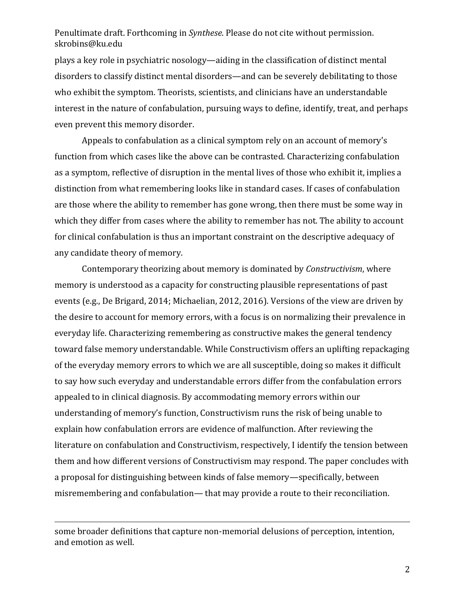plays a key role in psychiatric nosology—aiding in the classification of distinct mental disorders to classify distinct mental disorders—and can be severely debilitating to those who exhibit the symptom. Theorists, scientists, and clinicians have an understandable interest in the nature of confabulation, pursuing ways to define, identify, treat, and perhaps even prevent this memory disorder.

Appeals to confabulation as a clinical symptom rely on an account of memory's function from which cases like the above can be contrasted. Characterizing confabulation as a symptom, reflective of disruption in the mental lives of those who exhibit it, implies a distinction from what remembering looks like in standard cases. If cases of confabulation are those where the ability to remember has gone wrong, then there must be some way in which they differ from cases where the ability to remember has not. The ability to account for clinical confabulation is thus an important constraint on the descriptive adequacy of any candidate theory of memory.

Contemporary theorizing about memory is dominated by *Constructivism*, where memory is understood as a capacity for constructing plausible representations of past events (e.g., De Brigard, 2014; Michaelian, 2012, 2016). Versions of the view are driven by the desire to account for memory errors, with a focus is on normalizing their prevalence in everyday life. Characterizing remembering as constructive makes the general tendency toward false memory understandable. While Constructivism offers an uplifting repackaging of the everyday memory errors to which we are all susceptible, doing so makes it difficult to say how such everyday and understandable errors differ from the confabulation errors appealed to in clinical diagnosis. By accommodating memory errors within our understanding of memory's function, Constructivism runs the risk of being unable to explain how confabulation errors are evidence of malfunction. After reviewing the literature on confabulation and Constructivism, respectively, I identify the tension between them and how different versions of Constructivism may respond. The paper concludes with a proposal for distinguishing between kinds of false memory—specifically, between misremembering and confabulation— that may provide a route to their reconciliation.

<u> 1989 - Andrea San Andrea San Andrea San Andrea San Andrea San Andrea San Andrea San Andrea San Andrea San An</u>

some broader definitions that capture non-memorial delusions of perception, intention, and emotion as well.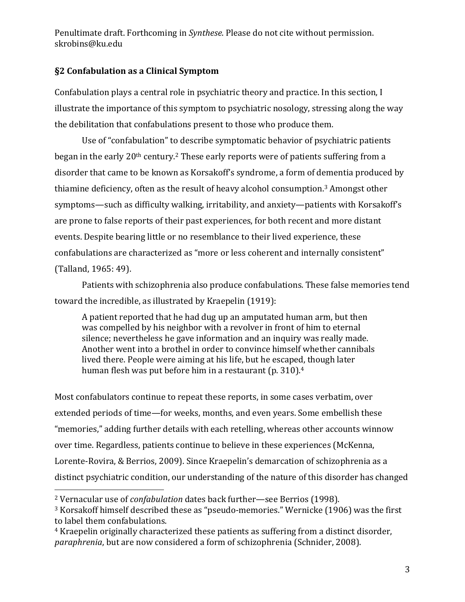# **§2 Confabulation as a Clinical Symptom**

Confabulation plays a central role in psychiatric theory and practice. In this section, I illustrate the importance of this symptom to psychiatric nosology, stressing along the way the debilitation that confabulations present to those who produce them.

Use of "confabulation" to describe symptomatic behavior of psychiatric patients began in the early 20<sup>th</sup> century.<sup>2</sup> These early reports were of patients suffering from a disorder that came to be known as Korsakoff's syndrome, a form of dementia produced by thiamine deficiency, often as the result of heavy alcohol consumption.<sup>3</sup> Amongst other symptoms—such as difficulty walking, irritability, and anxiety—patients with Korsakoff's are prone to false reports of their past experiences, for both recent and more distant events. Despite bearing little or no resemblance to their lived experience, these confabulations are characterized as "more or less coherent and internally consistent" (Talland, 1965: 49).

Patients with schizophrenia also produce confabulations. These false memories tend toward the incredible, as illustrated by Kraepelin (1919):

A patient reported that he had dug up an amputated human arm, but then was compelled by his neighbor with a revolver in front of him to eternal silence; nevertheless he gave information and an inquiry was really made. Another went into a brothel in order to convince himself whether cannibals lived there. People were aiming at his life, but he escaped, though later human flesh was put before him in a restaurant (p. 310).<sup>4</sup>

Most confabulators continue to repeat these reports, in some cases verbatim, over extended periods of time—for weeks, months, and even years. Some embellish these "memories," adding further details with each retelling, whereas other accounts winnow over time. Regardless, patients continue to believe in these experiences (McKenna, Lorente-Rovira, & Berrios, 2009). Since Kraepelin's demarcation of schizophrenia as a distinct psychiatric condition, our understanding of the nature of this disorder has changed 

<sup>&</sup>lt;sup>2</sup> Vernacular use of *confabulation* dates back further—see Berrios (1998).

<sup>&</sup>lt;sup>3</sup> Korsakoff himself described these as "pseudo-memories." Wernicke (1906) was the first to label them confabulations.

<sup>&</sup>lt;sup>4</sup> Kraepelin originally characterized these patients as suffering from a distinct disorder, *paraphrenia*, but are now considered a form of schizophrenia (Schnider, 2008).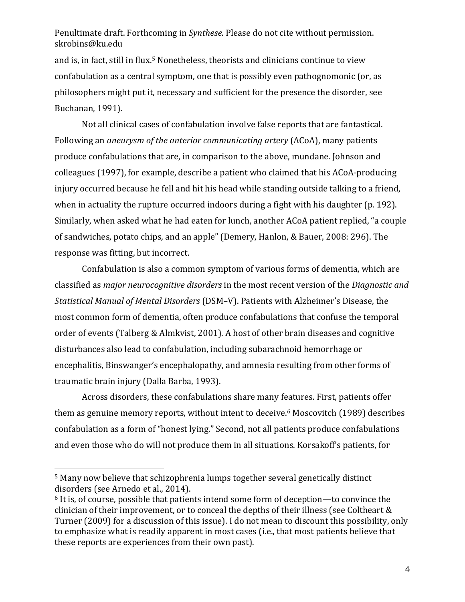and is, in fact, still in flux.<sup>5</sup> Nonetheless, theorists and clinicians continue to view confabulation as a central symptom, one that is possibly even pathognomonic (or, as philosophers might put it, necessary and sufficient for the presence the disorder, see Buchanan, 1991).

Not all clinical cases of confabulation involve false reports that are fantastical. Following an *aneurysm of the anterior communicating artery* (ACoA), many patients produce confabulations that are, in comparison to the above, mundane. Johnson and colleagues (1997), for example, describe a patient who claimed that his ACoA-producing injury occurred because he fell and hit his head while standing outside talking to a friend, when in actuality the rupture occurred indoors during a fight with his daughter (p. 192). Similarly, when asked what he had eaten for lunch, another ACoA patient replied, "a couple of sandwiches, potato chips, and an apple" (Demery, Hanlon, & Bauer, 2008: 296). The response was fitting, but incorrect.

Confabulation is also a common symptom of various forms of dementia, which are classified as *major neurocognitive disorders* in the most recent version of the *Diagnostic and Statistical Manual of Mental Disorders* (DSM–V). Patients with Alzheimer's Disease, the most common form of dementia, often produce confabulations that confuse the temporal order of events (Talberg & Almkvist, 2001). A host of other brain diseases and cognitive disturbances also lead to confabulation, including subarachnoid hemorrhage or encephalitis, Binswanger's encephalopathy, and amnesia resulting from other forms of traumatic brain injury (Dalla Barba, 1993).

Across disorders, these confabulations share many features. First, patients offer them as genuine memory reports, without intent to deceive.<sup>6</sup> Moscovitch (1989) describes confabulation as a form of "honest lying." Second, not all patients produce confabulations and even those who do will not produce them in all situations. Korsakoff's patients, for

 $5$  Many now believe that schizophrenia lumps together several genetically distinct disorders (see Arnedo et al., 2014).

 $6$  It is, of course, possible that patients intend some form of deception—to convince the clinician of their improvement, or to conceal the depths of their illness (see Coltheart  $&$ Turner (2009) for a discussion of this issue). I do not mean to discount this possibility, only to emphasize what is readily apparent in most cases (i.e., that most patients believe that these reports are experiences from their own past).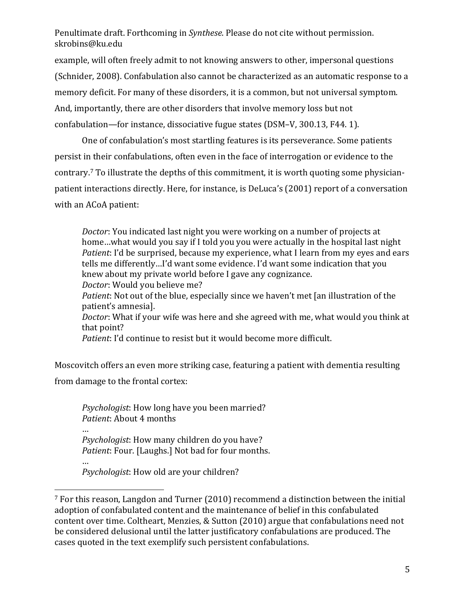example, will often freely admit to not knowing answers to other, impersonal questions (Schnider, 2008). Confabulation also cannot be characterized as an automatic response to a memory deficit. For many of these disorders, it is a common, but not universal symptom. And, importantly, there are other disorders that involve memory loss but not confabulation—for instance, dissociative fugue states (DSM-V, 300.13, F44. 1).

One of confabulation's most startling features is its perseverance. Some patients persist in their confabulations, often even in the face of interrogation or evidence to the contrary.<sup>7</sup> To illustrate the depths of this commitment, it is worth quoting some physicianpatient interactions directly. Here, for instance, is DeLuca's (2001) report of a conversation with an ACoA patient:

*Doctor*: You indicated last night you were working on a number of projects at home...what would you say if I told you you were actually in the hospital last night *Patient*: I'd be surprised, because my experience, what I learn from my eyes and ears tells me differently...I'd want some evidence. I'd want some indication that you knew about my private world before I gave any cognizance. *Doctor:* Would you believe me? *Patient*: Not out of the blue, especially since we haven't met [an illustration of the patient's amnesial. *Doctor*: What if your wife was here and she agreed with me, what would you think at that point? Patient: I'd continue to resist but it would become more difficult.

Moscovitch offers an even more striking case, featuring a patient with dementia resulting from damage to the frontal cortex:

*Psychologist:* How long have you been married? **Patient:** About 4 months

…

 

*Psychologist:* How many children do you have? Patient: Four. [Laughs.] Not bad for four months.

… *Psychologist*: How old are your children?

 $7$  For this reason, Langdon and Turner (2010) recommend a distinction between the initial adoption of confabulated content and the maintenance of belief in this confabulated content over time. Coltheart, Menzies, & Sutton (2010) argue that confabulations need not be considered delusional until the latter justificatory confabulations are produced. The cases quoted in the text exemplify such persistent confabulations.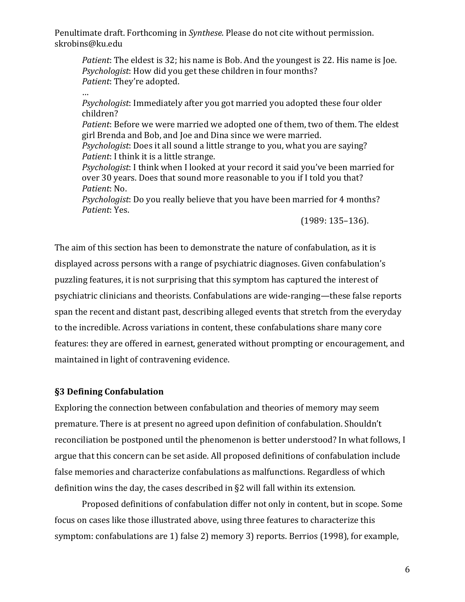*Patient*: The eldest is 32; his name is Bob. And the voungest is 22. His name is Joe. *Psychologist:* How did you get these children in four months? Patient: They're adopted.

… *Psychologist:* Immediately after you got married you adopted these four older children? *Patient*: Before we were married we adopted one of them, two of them. The eldest girl Brenda and Bob, and Joe and Dina since we were married. *Psychologist:* Does it all sound a little strange to you, what you are saying? *Patient*: I think it is a little strange. *Psychologist*: I think when I looked at your record it said you've been married for over 30 years. Does that sound more reasonable to you if I told you that? *Patient*: No. *Psychologist*: Do you really believe that you have been married for 4 months?

**Patient:** Yes.

(1989: 135–136). 

The aim of this section has been to demonstrate the nature of confabulation, as it is displayed across persons with a range of psychiatric diagnoses. Given confabulation's puzzling features, it is not surprising that this symptom has captured the interest of psychiatric clinicians and theorists. Confabulations are wide-ranging—these false reports span the recent and distant past, describing alleged events that stretch from the everyday to the incredible. Across variations in content, these confabulations share many core features: they are offered in earnest, generated without prompting or encouragement, and maintained in light of contravening evidence.

#### **§3 Defining Confabulation**

Exploring the connection between confabulation and theories of memory may seem premature. There is at present no agreed upon definition of confabulation. Shouldn't reconciliation be postponed until the phenomenon is better understood? In what follows, I argue that this concern can be set aside. All proposed definitions of confabulation include false memories and characterize confabulations as malfunctions. Regardless of which definition wins the day, the cases described in  $\S$ 2 will fall within its extension.

Proposed definitions of confabulation differ not only in content, but in scope. Some focus on cases like those illustrated above, using three features to characterize this symptom: confabulations are 1) false 2) memory 3) reports. Berrios (1998), for example,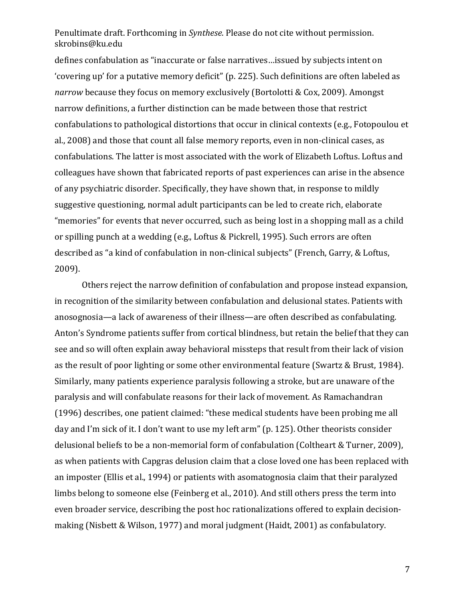defines confabulation as "inaccurate or false narratives...issued by subjects intent on 'covering up' for a putative memory deficit" (p. 225). Such definitions are often labeled as *narrow* because they focus on memory exclusively (Bortolotti & Cox, 2009). Amongst narrow definitions, a further distinction can be made between those that restrict confabulations to pathological distortions that occur in clinical contexts (e.g., Fotopoulou et al., 2008) and those that count all false memory reports, even in non-clinical cases, as confabulations. The latter is most associated with the work of Elizabeth Loftus. Loftus and colleagues have shown that fabricated reports of past experiences can arise in the absence of any psychiatric disorder. Specifically, they have shown that, in response to mildly suggestive questioning, normal adult participants can be led to create rich, elaborate "memories" for events that never occurred, such as being lost in a shopping mall as a child or spilling punch at a wedding (e.g., Loftus & Pickrell, 1995). Such errors are often described as "a kind of confabulation in non-clinical subjects" (French, Garry, & Loftus, 2009).

Others reject the narrow definition of confabulation and propose instead expansion, in recognition of the similarity between confabulation and delusional states. Patients with anosognosia—a lack of awareness of their illness—are often described as confabulating. Anton's Syndrome patients suffer from cortical blindness, but retain the belief that they can see and so will often explain away behavioral missteps that result from their lack of vision as the result of poor lighting or some other environmental feature (Swartz & Brust, 1984). Similarly, many patients experience paralysis following a stroke, but are unaware of the paralysis and will confabulate reasons for their lack of movement. As Ramachandran (1996) describes, one patient claimed: "these medical students have been probing me all day and I'm sick of it. I don't want to use my left arm" (p. 125). Other theorists consider delusional beliefs to be a non-memorial form of confabulation (Coltheart & Turner, 2009), as when patients with Capgras delusion claim that a close loved one has been replaced with an imposter (Ellis et al., 1994) or patients with asomatognosia claim that their paralyzed limbs belong to someone else (Feinberg et al., 2010). And still others press the term into even broader service, describing the post hoc rationalizations offered to explain decisionmaking (Nisbett & Wilson, 1977) and moral judgment (Haidt, 2001) as confabulatory.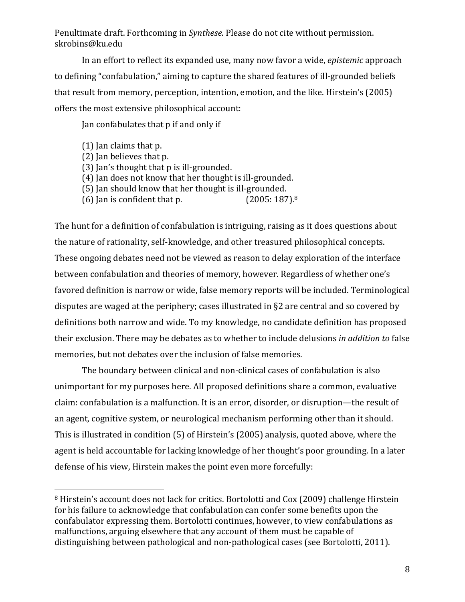In an effort to reflect its expanded use, many now favor a wide, *epistemic* approach to defining "confabulation," aiming to capture the shared features of ill-grounded beliefs that result from memory, perception, intention, emotion, and the like. Hirstein's (2005) offers the most extensive philosophical account:

Jan confabulates that p if and only if

 

 $(1)$  Jan claims that p.  $(2)$  Jan believes that p.  $(3)$  Jan's thought that  $p$  is ill-grounded. (4) Ian does not know that her thought is ill-grounded. (5) Jan should know that her thought is ill-grounded. (6) Ian is confident that p.  $(2005:187).8$ 

The hunt for a definition of confabulation is intriguing, raising as it does questions about the nature of rationality, self-knowledge, and other treasured philosophical concepts. These ongoing debates need not be viewed as reason to delay exploration of the interface between confabulation and theories of memory, however. Regardless of whether one's favored definition is narrow or wide, false memory reports will be included. Terminological disputes are waged at the periphery; cases illustrated in  $\S2$  are central and so covered by definitions both narrow and wide. To my knowledge, no candidate definition has proposed their exclusion. There may be debates as to whether to include delusions *in addition to* false memories, but not debates over the inclusion of false memories.

The boundary between clinical and non-clinical cases of confabulation is also unimportant for my purposes here. All proposed definitions share a common, evaluative claim: confabulation is a malfunction. It is an error, disorder, or disruption—the result of an agent, cognitive system, or neurological mechanism performing other than it should. This is illustrated in condition  $(5)$  of Hirstein's  $(2005)$  analysis, quoted above, where the agent is held accountable for lacking knowledge of her thought's poor grounding. In a later defense of his view, Hirstein makes the point even more forcefully:

<sup>&</sup>lt;sup>8</sup> Hirstein's account does not lack for critics. Bortolotti and Cox (2009) challenge Hirstein for his failure to acknowledge that confabulation can confer some benefits upon the confabulator expressing them. Bortolotti continues, however, to view confabulations as malfunctions, arguing elsewhere that any account of them must be capable of distinguishing between pathological and non-pathological cases (see Bortolotti, 2011).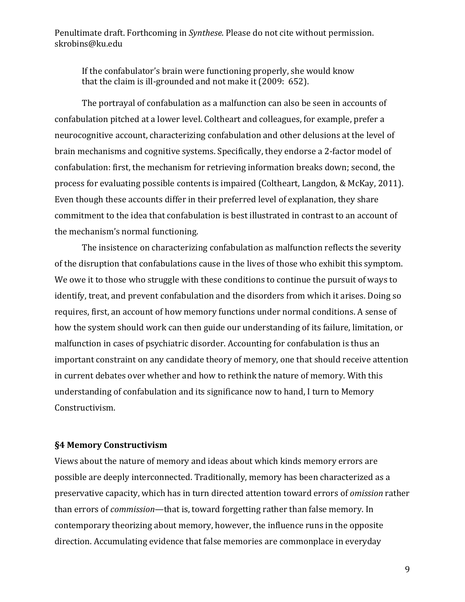If the confabulator's brain were functioning properly, she would know that the claim is ill-grounded and not make it  $(2009: 652)$ .

The portrayal of confabulation as a malfunction can also be seen in accounts of confabulation pitched at a lower level. Coltheart and colleagues, for example, prefer a neurocognitive account, characterizing confabulation and other delusions at the level of brain mechanisms and cognitive systems. Specifically, they endorse a 2-factor model of confabulation: first, the mechanism for retrieving information breaks down; second, the process for evaluating possible contents is impaired (Coltheart, Langdon, & McKay, 2011). Even though these accounts differ in their preferred level of explanation, they share commitment to the idea that confabulation is best illustrated in contrast to an account of the mechanism's normal functioning.

The insistence on characterizing confabulation as malfunction reflects the severity of the disruption that confabulations cause in the lives of those who exhibit this symptom. We owe it to those who struggle with these conditions to continue the pursuit of ways to identify, treat, and prevent confabulation and the disorders from which it arises. Doing so requires, first, an account of how memory functions under normal conditions. A sense of how the system should work can then guide our understanding of its failure, limitation, or malfunction in cases of psychiatric disorder. Accounting for confabulation is thus an important constraint on any candidate theory of memory, one that should receive attention in current debates over whether and how to rethink the nature of memory. With this understanding of confabulation and its significance now to hand, I turn to Memory Constructivism. 

#### **§4 Memory Constructivism**

Views about the nature of memory and ideas about which kinds memory errors are possible are deeply interconnected. Traditionally, memory has been characterized as a preservative capacity, which has in turn directed attention toward errors of *omission* rather than errors of *commission*—that is, toward forgetting rather than false memory. In contemporary theorizing about memory, however, the influence runs in the opposite direction. Accumulating evidence that false memories are commonplace in everyday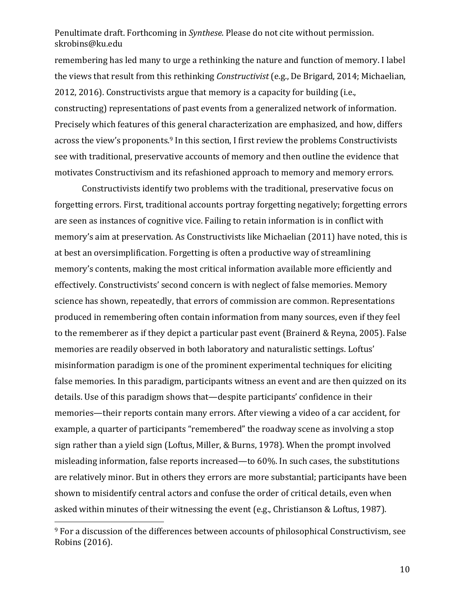remembering has led many to urge a rethinking the nature and function of memory. I label the views that result from this rethinking *Constructivist* (e.g., De Brigard, 2014; Michaelian, 2012, 2016). Constructivists argue that memory is a capacity for building (i.e., constructing) representations of past events from a generalized network of information. Precisely which features of this general characterization are emphasized, and how, differs across the view's proponents.<sup>9</sup> In this section, I first review the problems Constructivists see with traditional, preservative accounts of memory and then outline the evidence that motivates Constructivism and its refashioned approach to memory and memory errors.

Constructivists identify two problems with the traditional, preservative focus on forgetting errors. First, traditional accounts portray forgetting negatively; forgetting errors are seen as instances of cognitive vice. Failing to retain information is in conflict with memory's aim at preservation. As Constructivists like Michaelian (2011) have noted, this is at best an oversimplification. Forgetting is often a productive way of streamlining memory's contents, making the most critical information available more efficiently and effectively. Constructivists' second concern is with neglect of false memories. Memory science has shown, repeatedly, that errors of commission are common. Representations produced in remembering often contain information from many sources, even if they feel to the rememberer as if they depict a particular past event (Brainerd & Reyna, 2005). False memories are readily observed in both laboratory and naturalistic settings. Loftus' misinformation paradigm is one of the prominent experimental techniques for eliciting false memories. In this paradigm, participants witness an event and are then quizzed on its details. Use of this paradigm shows that—despite participants' confidence in their memories—their reports contain many errors. After viewing a video of a car accident, for example, a quarter of participants "remembered" the roadway scene as involving a stop sign rather than a yield sign (Loftus, Miller, & Burns, 1978). When the prompt involved misleading information, false reports increased—to 60%. In such cases, the substitutions are relatively minor. But in others they errors are more substantial; participants have been shown to misidentify central actors and confuse the order of critical details, even when asked within minutes of their witnessing the event (e.g., Christianson & Loftus, 1987).

 $9$  For a discussion of the differences between accounts of philosophical Constructivism, see Robins (2016).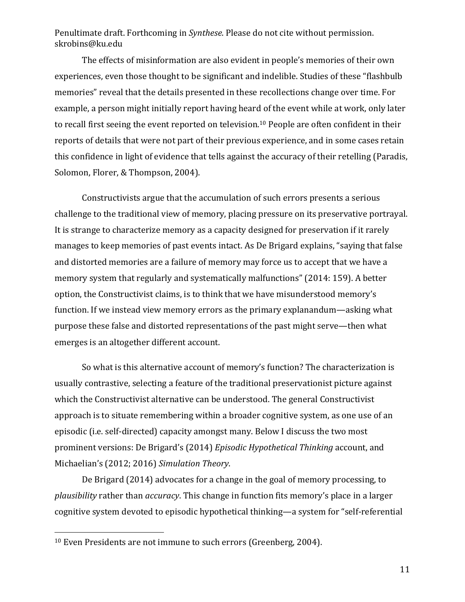The effects of misinformation are also evident in people's memories of their own experiences, even those thought to be significant and indelible. Studies of these "flashbulb" memories" reveal that the details presented in these recollections change over time. For example, a person might initially report having heard of the event while at work, only later to recall first seeing the event reported on television.<sup>10</sup> People are often confident in their reports of details that were not part of their previous experience, and in some cases retain this confidence in light of evidence that tells against the accuracy of their retelling (Paradis, Solomon, Florer, & Thompson, 2004).

Constructivists argue that the accumulation of such errors presents a serious challenge to the traditional view of memory, placing pressure on its preservative portrayal. It is strange to characterize memory as a capacity designed for preservation if it rarely manages to keep memories of past events intact. As De Brigard explains, "saying that false and distorted memories are a failure of memory may force us to accept that we have a memory system that regularly and systematically malfunctions" (2014: 159). A better option, the Constructivist claims, is to think that we have misunderstood memory's function. If we instead view memory errors as the primary explanandum—asking what purpose these false and distorted representations of the past might serve—then what emerges is an altogether different account.

So what is this alternative account of memory's function? The characterization is usually contrastive, selecting a feature of the traditional preservationist picture against which the Constructivist alternative can be understood. The general Constructivist approach is to situate remembering within a broader cognitive system, as one use of an episodic (i.e. self-directed) capacity amongst many. Below I discuss the two most prominent versions: De Brigard's (2014) *Episodic Hypothetical Thinking* account, and Michaelian's (2012; 2016) Simulation Theory.

De Brigard (2014) advocates for a change in the goal of memory processing, to *plausibility* rather than *accuracy*. This change in function fits memory's place in a larger cognitive system devoted to episodic hypothetical thinking—a system for "self-referential

 $10$  Even Presidents are not immune to such errors (Greenberg, 2004).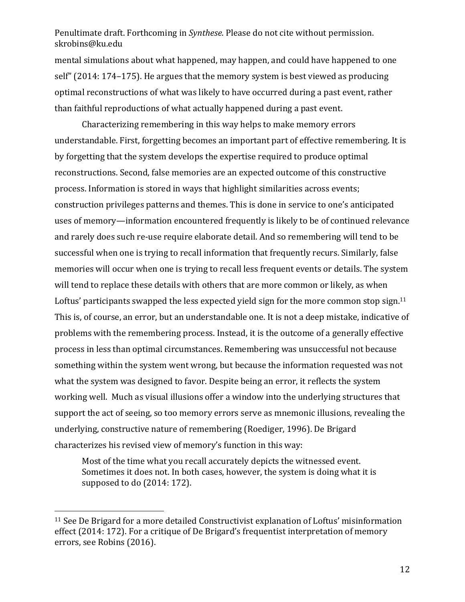mental simulations about what happened, may happen, and could have happened to one self"  $(2014: 174-175)$ . He argues that the memory system is best viewed as producing optimal reconstructions of what was likely to have occurred during a past event, rather than faithful reproductions of what actually happened during a past event.

Characterizing remembering in this way helps to make memory errors understandable. First, forgetting becomes an important part of effective remembering. It is by forgetting that the system develops the expertise required to produce optimal reconstructions. Second, false memories are an expected outcome of this constructive process. Information is stored in ways that highlight similarities across events; construction privileges patterns and themes. This is done in service to one's anticipated uses of memory—information encountered frequently is likely to be of continued relevance and rarely does such re-use require elaborate detail. And so remembering will tend to be successful when one is trying to recall information that frequently recurs. Similarly, false memories will occur when one is trying to recall less frequent events or details. The system will tend to replace these details with others that are more common or likely, as when Loftus' participants swapped the less expected yield sign for the more common stop sign.<sup>11</sup> This is, of course, an error, but an understandable one. It is not a deep mistake, indicative of problems with the remembering process. Instead, it is the outcome of a generally effective process in less than optimal circumstances. Remembering was unsuccessful not because something within the system went wrong, but because the information requested was not what the system was designed to favor. Despite being an error, it reflects the system working well. Much as visual illusions offer a window into the underlying structures that support the act of seeing, so too memory errors serve as mnemonic illusions, revealing the underlying, constructive nature of remembering (Roediger, 1996). De Brigard characterizes his revised view of memory's function in this way:

Most of the time what you recall accurately depicts the witnessed event. Sometimes it does not. In both cases, however, the system is doing what it is supposed to do  $(2014:172)$ .

 $11$  See De Brigard for a more detailed Constructivist explanation of Loftus' misinformation effect (2014: 172). For a critique of De Brigard's frequentist interpretation of memory errors, see Robins (2016).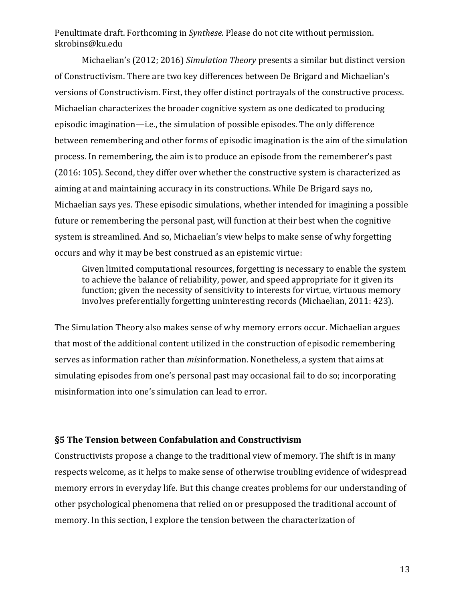Michaelian's (2012; 2016) *Simulation Theory* presents a similar but distinct version of Constructivism. There are two key differences between De Brigard and Michaelian's versions of Constructivism. First, they offer distinct portrayals of the constructive process. Michaelian characterizes the broader cognitive system as one dedicated to producing episodic imagination—i.e., the simulation of possible episodes. The only difference between remembering and other forms of episodic imagination is the aim of the simulation process. In remembering, the aim is to produce an episode from the rememberer's past (2016: 105). Second, they differ over whether the constructive system is characterized as aiming at and maintaining accuracy in its constructions. While De Brigard says no, Michaelian says yes. These episodic simulations, whether intended for imagining a possible future or remembering the personal past, will function at their best when the cognitive system is streamlined. And so, Michaelian's view helps to make sense of why forgetting occurs and why it may be best construed as an epistemic virtue:

Given limited computational resources, forgetting is necessary to enable the system to achieve the balance of reliability, power, and speed appropriate for it given its function; given the necessity of sensitivity to interests for virtue, virtuous memory involves preferentially forgetting uninteresting records (Michaelian, 2011: 423).

The Simulation Theory also makes sense of why memory errors occur. Michaelian argues that most of the additional content utilized in the construction of episodic remembering serves as information rather than *mis*information. Nonetheless, a system that aims at simulating episodes from one's personal past may occasional fail to do so; incorporating misinformation into one's simulation can lead to error.

### **§5** The Tension between Confabulation and Constructivism

Constructivists propose a change to the traditional view of memory. The shift is in many respects welcome, as it helps to make sense of otherwise troubling evidence of widespread memory errors in everyday life. But this change creates problems for our understanding of other psychological phenomena that relied on or presupposed the traditional account of memory. In this section, I explore the tension between the characterization of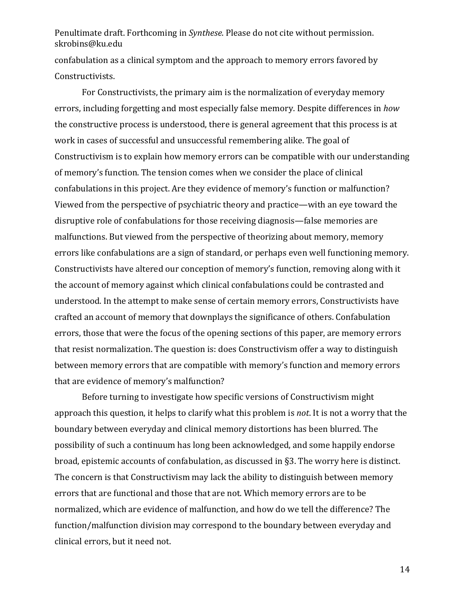confabulation as a clinical symptom and the approach to memory errors favored by Constructivists. 

For Constructivists, the primary aim is the normalization of everyday memory errors, including forgetting and most especially false memory. Despite differences in *how* the constructive process is understood, there is general agreement that this process is at work in cases of successful and unsuccessful remembering alike. The goal of Constructivism is to explain how memory errors can be compatible with our understanding of memory's function. The tension comes when we consider the place of clinical confabulations in this project. Are they evidence of memory's function or malfunction? Viewed from the perspective of psychiatric theory and practice—with an eye toward the disruptive role of confabulations for those receiving diagnosis—false memories are malfunctions. But viewed from the perspective of theorizing about memory, memory errors like confabulations are a sign of standard, or perhaps even well functioning memory. Constructivists have altered our conception of memory's function, removing along with it the account of memory against which clinical confabulations could be contrasted and understood. In the attempt to make sense of certain memory errors, Constructivists have crafted an account of memory that downplays the significance of others. Confabulation errors, those that were the focus of the opening sections of this paper, are memory errors that resist normalization. The question is: does Constructivism offer a way to distinguish between memory errors that are compatible with memory's function and memory errors that are evidence of memory's malfunction?

Before turning to investigate how specific versions of Constructivism might approach this question, it helps to clarify what this problem is *not*. It is not a worry that the boundary between everyday and clinical memory distortions has been blurred. The possibility of such a continuum has long been acknowledged, and some happily endorse broad, epistemic accounts of confabulation, as discussed in §3. The worry here is distinct. The concern is that Constructivism may lack the ability to distinguish between memory errors that are functional and those that are not. Which memory errors are to be normalized, which are evidence of malfunction, and how do we tell the difference? The function/malfunction division may correspond to the boundary between everyday and clinical errors, but it need not.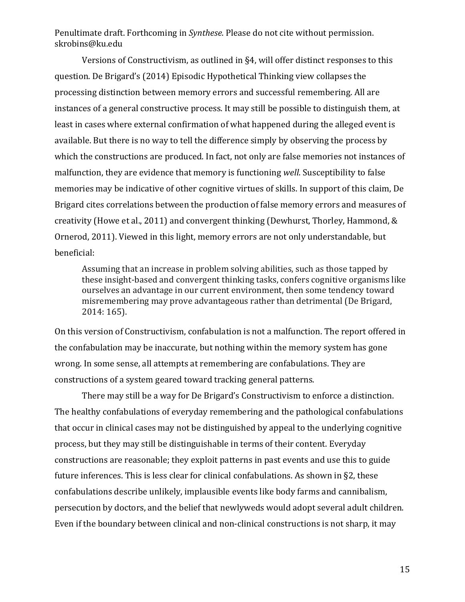Versions of Constructivism, as outlined in §4, will offer distinct responses to this question. De Brigard's (2014) Episodic Hypothetical Thinking view collapses the processing distinction between memory errors and successful remembering. All are instances of a general constructive process. It may still be possible to distinguish them, at least in cases where external confirmation of what happened during the alleged event is available. But there is no way to tell the difference simply by observing the process by which the constructions are produced. In fact, not only are false memories not instances of malfunction, they are evidence that memory is functioning *well*. Susceptibility to false memories may be indicative of other cognitive virtues of skills. In support of this claim, De Brigard cites correlations between the production of false memory errors and measures of creativity (Howe et al., 2011) and convergent thinking (Dewhurst, Thorley, Hammond. & Ornerod, 2011). Viewed in this light, memory errors are not only understandable, but beneficial: 

Assuming that an increase in problem solving abilities, such as those tapped by these insight-based and convergent thinking tasks, confers cognitive organisms like ourselves an advantage in our current environment, then some tendency toward misremembering may prove advantageous rather than detrimental (De Brigard, 2014: 165). 

On this version of Constructivism, confabulation is not a malfunction. The report offered in the confabulation may be inaccurate, but nothing within the memory system has gone wrong. In some sense, all attempts at remembering are confabulations. They are constructions of a system geared toward tracking general patterns.

There may still be a way for De Brigard's Constructivism to enforce a distinction. The healthy confabulations of everyday remembering and the pathological confabulations that occur in clinical cases may not be distinguished by appeal to the underlying cognitive process, but they may still be distinguishable in terms of their content. Everyday constructions are reasonable; they exploit patterns in past events and use this to guide future inferences. This is less clear for clinical confabulations. As shown in  $\S2$ , these confabulations describe unlikely, implausible events like body farms and cannibalism, persecution by doctors, and the belief that newlyweds would adopt several adult children. Even if the boundary between clinical and non-clinical constructions is not sharp, it may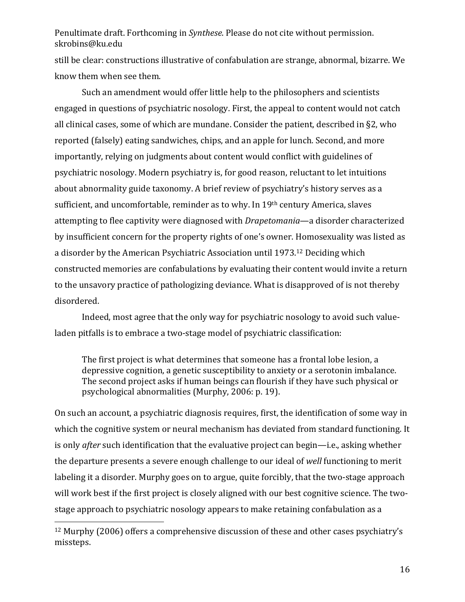still be clear: constructions illustrative of confabulation are strange, abnormal, bizarre. We know them when see them.

Such an amendment would offer little help to the philosophers and scientists engaged in questions of psychiatric nosology. First, the appeal to content would not catch all clinical cases, some of which are mundane. Consider the patient, described in  $\S2$ , who reported (falsely) eating sandwiches, chips, and an apple for lunch. Second, and more importantly, relying on judgments about content would conflict with guidelines of psychiatric nosology. Modern psychiatry is, for good reason, reluctant to let intuitions about abnormality guide taxonomy. A brief review of psychiatry's history serves as a sufficient, and uncomfortable, reminder as to why. In 19th century America, slaves attempting to flee captivity were diagnosed with *Drapetomania*—a disorder characterized by insufficient concern for the property rights of one's owner. Homosexuality was listed as a disorder by the American Psychiatric Association until 1973.<sup>12</sup> Deciding which constructed memories are confabulations by evaluating their content would invite a return to the unsavory practice of pathologizing deviance. What is disapproved of is not thereby disordered. 

Indeed, most agree that the only way for psychiatric nosology to avoid such valueladen pitfalls is to embrace a two-stage model of psychiatric classification:

The first project is what determines that someone has a frontal lobe lesion, a depressive cognition, a genetic susceptibility to anxiety or a serotonin imbalance. The second project asks if human beings can flourish if they have such physical or psychological abnormalities (Murphy, 2006: p. 19).

On such an account, a psychiatric diagnosis requires, first, the identification of some way in which the cognitive system or neural mechanism has deviated from standard functioning. It is only *after* such identification that the evaluative project can begin—i.e., asking whether the departure presents a severe enough challenge to our ideal of *well* functioning to merit labeling it a disorder. Murphy goes on to argue, quite forcibly, that the two-stage approach will work best if the first project is closely aligned with our best cognitive science. The twostage approach to psychiatric nosology appears to make retaining confabulation as a

 $12$  Murphy (2006) offers a comprehensive discussion of these and other cases psychiatry's missteps.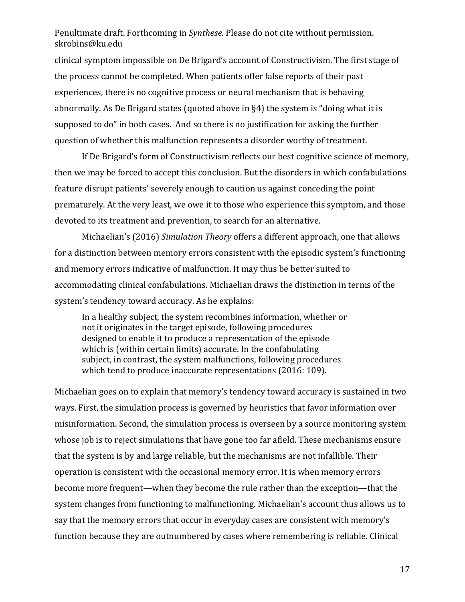clinical symptom impossible on De Brigard's account of Constructivism. The first stage of the process cannot be completed. When patients offer false reports of their past experiences, there is no cognitive process or neural mechanism that is behaving abnormally. As De Brigard states (quoted above in  $\S4$ ) the system is "doing what it is supposed to do" in both cases. And so there is no justification for asking the further question of whether this malfunction represents a disorder worthy of treatment.

If De Brigard's form of Constructivism reflects our best cognitive science of memory, then we may be forced to accept this conclusion. But the disorders in which confabulations feature disrupt patients' severely enough to caution us against conceding the point prematurely. At the very least, we owe it to those who experience this symptom, and those devoted to its treatment and prevention, to search for an alternative.

Michaelian's (2016) Simulation Theory offers a different approach, one that allows for a distinction between memory errors consistent with the episodic system's functioning and memory errors indicative of malfunction. It may thus be better suited to accommodating clinical confabulations. Michaelian draws the distinction in terms of the system's tendency toward accuracy. As he explains:

In a healthy subject, the system recombines information, whether or not it originates in the target episode, following procedures designed to enable it to produce a representation of the episode which is (within certain limits) accurate. In the confabulating subject, in contrast, the system malfunctions, following procedures which tend to produce inaccurate representations (2016: 109).

Michaelian goes on to explain that memory's tendency toward accuracy is sustained in two ways. First, the simulation process is governed by heuristics that favor information over misinformation. Second, the simulation process is overseen by a source monitoring system whose job is to reject simulations that have gone too far afield. These mechanisms ensure that the system is by and large reliable, but the mechanisms are not infallible. Their operation is consistent with the occasional memory error. It is when memory errors become more frequent—when they become the rule rather than the exception—that the system changes from functioning to malfunctioning. Michaelian's account thus allows us to say that the memory errors that occur in everyday cases are consistent with memory's function because they are outnumbered by cases where remembering is reliable. Clinical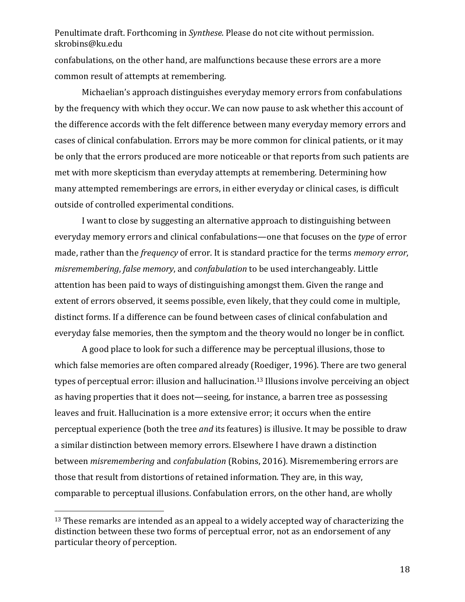confabulations, on the other hand, are malfunctions because these errors are a more common result of attempts at remembering.

Michaelian's approach distinguishes everyday memory errors from confabulations by the frequency with which they occur. We can now pause to ask whether this account of the difference accords with the felt difference between many everyday memory errors and cases of clinical confabulation. Errors may be more common for clinical patients, or it may be only that the errors produced are more noticeable or that reports from such patients are met with more skepticism than everyday attempts at remembering. Determining how many attempted rememberings are errors, in either everyday or clinical cases, is difficult outside of controlled experimental conditions.

I want to close by suggesting an alternative approach to distinguishing between everyday memory errors and clinical confabulations—one that focuses on the *type* of error made, rather than the *frequency* of error. It is standard practice for the terms *memory error*, *misremembering, false memory, and confabulation* to be used interchangeably. Little attention has been paid to ways of distinguishing amongst them. Given the range and extent of errors observed, it seems possible, even likely, that they could come in multiple, distinct forms. If a difference can be found between cases of clinical confabulation and everyday false memories, then the symptom and the theory would no longer be in conflict.

A good place to look for such a difference may be perceptual illusions, those to which false memories are often compared already (Roediger, 1996). There are two general types of perceptual error: illusion and hallucination.<sup>13</sup> Illusions involve perceiving an object as having properties that it does not—seeing, for instance, a barren tree as possessing leaves and fruit. Hallucination is a more extensive error; it occurs when the entire perceptual experience (both the tree *and* its features) is illusive. It may be possible to draw a similar distinction between memory errors. Elsewhere I have drawn a distinction between *misremembering* and *confabulation* (Robins, 2016). Misremembering errors are those that result from distortions of retained information. They are, in this way, comparable to perceptual illusions. Confabulation errors, on the other hand, are wholly

 $13$  These remarks are intended as an appeal to a widely accepted way of characterizing the distinction between these two forms of perceptual error, not as an endorsement of any particular theory of perception.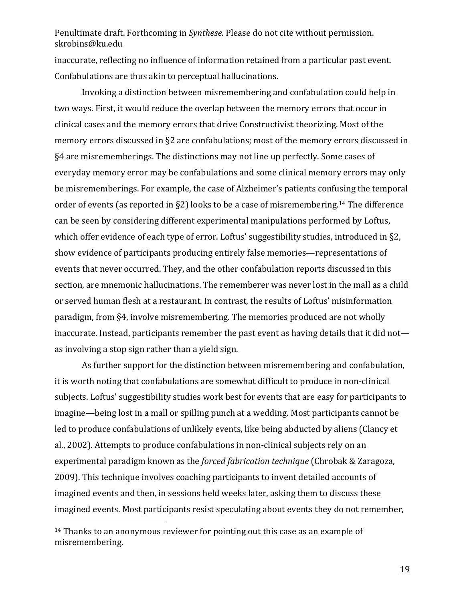inaccurate, reflecting no influence of information retained from a particular past event. Confabulations are thus akin to perceptual hallucinations.

Invoking a distinction between misremembering and confabulation could help in two ways. First, it would reduce the overlap between the memory errors that occur in clinical cases and the memory errors that drive Constructivist theorizing. Most of the memory errors discussed in  $\S$ 2 are confabulations; most of the memory errors discussed in §4 are misrememberings. The distinctions may not line up perfectly. Some cases of everyday memory error may be confabulations and some clinical memory errors may only be misrememberings. For example, the case of Alzheimer's patients confusing the temporal order of events (as reported in §2) looks to be a case of misremembering.<sup>14</sup> The difference can be seen by considering different experimental manipulations performed by Loftus, which offer evidence of each type of error. Loftus' suggestibility studies, introduced in §2, show evidence of participants producing entirely false memories—representations of events that never occurred. They, and the other confabulation reports discussed in this section, are mnemonic hallucinations. The rememberer was never lost in the mall as a child or served human flesh at a restaurant. In contrast, the results of Loftus' misinformation paradigm, from §4, involve misremembering. The memories produced are not wholly inaccurate. Instead, participants remember the past event as having details that it did not as involving a stop sign rather than a yield sign.

As further support for the distinction between misremembering and confabulation, it is worth noting that confabulations are somewhat difficult to produce in non-clinical subjects. Loftus' suggestibility studies work best for events that are easy for participants to imagine—being lost in a mall or spilling punch at a wedding. Most participants cannot be led to produce confabulations of unlikely events, like being abducted by aliens (Clancy et al., 2002). Attempts to produce confabulations in non-clinical subjects rely on an experimental paradigm known as the *forced fabrication technique* (Chrobak & Zaragoza, 2009). This technique involves coaching participants to invent detailed accounts of imagined events and then, in sessions held weeks later, asking them to discuss these imagined events. Most participants resist speculating about events they do not remember,

 $14$  Thanks to an anonymous reviewer for pointing out this case as an example of misremembering.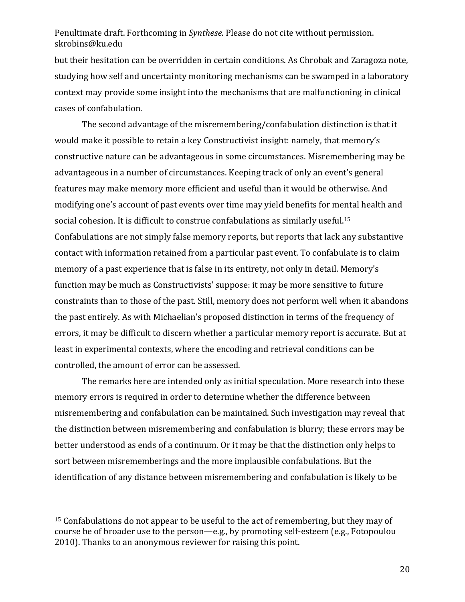but their hesitation can be overridden in certain conditions. As Chrobak and Zaragoza note, studying how self and uncertainty monitoring mechanisms can be swamped in a laboratory context may provide some insight into the mechanisms that are malfunctioning in clinical cases of confabulation.

The second advantage of the misremembering/confabulation distinction is that it would make it possible to retain a key Constructivist insight: namely, that memory's constructive nature can be advantageous in some circumstances. Misremembering may be advantageous in a number of circumstances. Keeping track of only an event's general features may make memory more efficient and useful than it would be otherwise. And modifying one's account of past events over time may yield benefits for mental health and social cohesion. It is difficult to construe confabulations as similarly useful.<sup>15</sup> Confabulations are not simply false memory reports, but reports that lack any substantive contact with information retained from a particular past event. To confabulate is to claim memory of a past experience that is false in its entirety, not only in detail. Memory's function may be much as Constructivists' suppose: it may be more sensitive to future constraints than to those of the past. Still, memory does not perform well when it abandons the past entirely. As with Michaelian's proposed distinction in terms of the frequency of errors, it may be difficult to discern whether a particular memory report is accurate. But at least in experimental contexts, where the encoding and retrieval conditions can be controlled, the amount of error can be assessed.

The remarks here are intended only as initial speculation. More research into these memory errors is required in order to determine whether the difference between misremembering and confabulation can be maintained. Such investigation may reveal that the distinction between misremembering and confabulation is blurry; these errors may be better understood as ends of a continuum. Or it may be that the distinction only helps to sort between misrememberings and the more implausible confabulations. But the identification of any distance between misremembering and confabulation is likely to be

 $15$  Confabulations do not appear to be useful to the act of remembering, but they may of course be of broader use to the person—e.g., by promoting self-esteem (e.g., Fotopoulou 2010). Thanks to an anonymous reviewer for raising this point.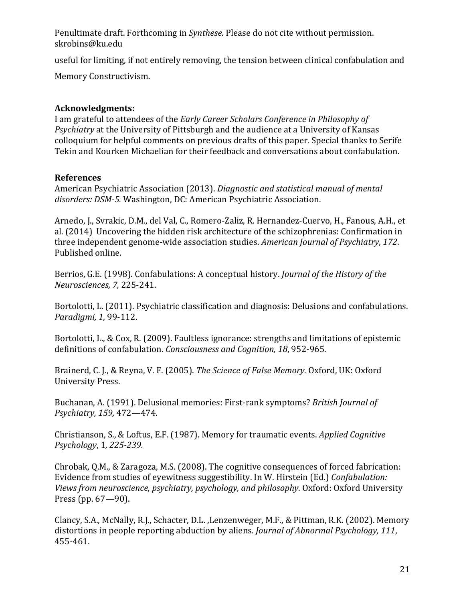useful for limiting, if not entirely removing, the tension between clinical confabulation and Memory Constructivism.

## **Acknowledgments:**

I am grateful to attendees of the *Early Career Scholars Conference in Philosophy of Psychiatry* at the University of Pittsburgh and the audience at a University of Kansas colloquium for helpful comments on previous drafts of this paper. Special thanks to Serife Tekin and Kourken Michaelian for their feedback and conversations about confabulation.

# **References**

American Psychiatric Association (2013). *Diagnostic and statistical manual of mental* disorders: DSM-5. Washington, DC: American Psychiatric Association.

Arnedo, J., Syrakic, D.M., del Val, C., Romero-Zaliz, R. Hernandez-Cuervo, H., Fanous, A.H., et al. (2014) Uncovering the hidden risk architecture of the schizophrenias: Confirmation in three independent genome-wide association studies. *American Journal of Psychiatry*, 172. Published online.

Berrios, G.E. (1998). Confabulations: A conceptual history. *Journal of the History of the Neurosciences, 7,* 225-241.

Bortolotti, L. (2011). Psychiatric classification and diagnosis: Delusions and confabulations. *Paradigmi, 1, 99-112.* 

Bortolotti, L., & Cox, R. (2009). Faultless ignorance: strengths and limitations of epistemic definitions of confabulation. *Consciousness and Cognition*, 18, 952-965.

Brainerd, C. J., & Reyna, V. F. (2005). *The Science of False Memory.* Oxford, UK: Oxford University Press.

Buchanan, A. (1991). Delusional memories: First-rank symptoms? *British Journal of Psychiatry, 159,* 472—474.

Christianson, S., & Loftus, E.F. (1987). Memory for traumatic events. *Applied Cognitive Psychology*, 1*, 225-239.*

Chrobak, Q.M., & Zaragoza, M.S. (2008). The cognitive consequences of forced fabrication: Evidence from studies of eyewitness suggestibility. In W. Hirstein (Ed.) *Confabulation: Views from neuroscience, psychiatry, psychology, and philosophy*. Oxford: Oxford University Press (pp. 67—90). 

Clancy, S.A., McNally, R.J., Schacter, D.L., Lenzenweger, M.F., & Pittman, R.K. (2002). Memory distortions in people reporting abduction by aliens. *Journal of Abnormal Psychology*, 111, 455-461.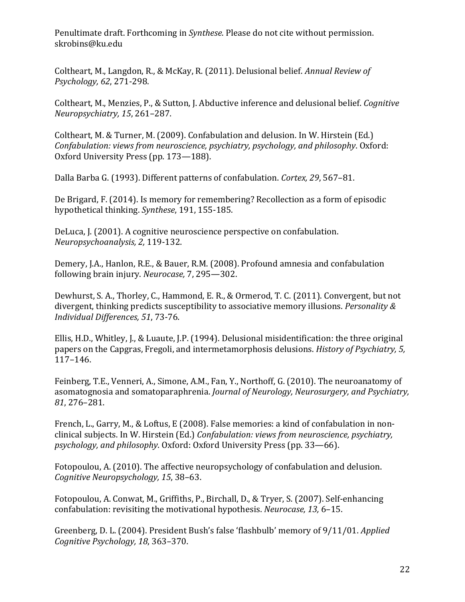Coltheart, M., Langdon, R., & McKay, R. (2011). Delusional belief. *Annual Review of Psychology, 62*, 271-298. 

Coltheart, M., Menzies, P., & Sutton, J. Abductive inference and delusional belief. *Cognitive Neuropsychiatry, 15, 261-287.* 

Coltheart, M. & Turner, M. (2009). Confabulation and delusion. In W. Hirstein (Ed.) *Confabulation: views from neuroscience, psychiatry, psychology, and philosophy*. Oxford: Oxford University Press (pp. 173—188).

Dalla Barba G. (1993). Different patterns of confabulation. *Cortex, 29*, 567–81.

De Brigard, F. (2014). Is memory for remembering? Recollection as a form of episodic hypothetical thinking. *Synthese*, 191, 155-185.

DeLuca, J. (2001). A cognitive neuroscience perspective on confabulation. *Neuropsychoanalysis, 2,* 119-132. 

Demery, J.A., Hanlon, R.E., & Bauer, R.M. (2008). Profound amnesia and confabulation following brain injury. *Neurocase,* 7, 295—302.

Dewhurst, S. A., Thorley, C., Hammond, E. R., & Ormerod, T. C. (2011). Convergent, but not divergent, thinking predicts susceptibility to associative memory illusions. *Personality & Individual Differences, 51*, 73-76.

Ellis, H.D., Whitley, J., & Luaute, J.P. (1994). Delusional misidentification: the three original papers on the Capgras, Fregoli, and intermetamorphosis delusions. *History of Psychiatry, 5,* 117–146.

Feinberg, T.E., Venneri, A., Simone, A.M., Fan, Y., Northoff, G. (2010). The neuroanatomy of asomatognosia and somatoparaphrenia. *Journal of Neurology, Neurosurgery, and Psychiatry, 81*, 276–281.

French, L., Garry, M., & Loftus, E (2008). False memories: a kind of confabulation in nonclinical subjects. In W. Hirstein (Ed.) *Confabulation: views from neuroscience, psychiatry, psychology, and philosophy*. Oxford: Oxford University Press (pp. 33—66). 

Fotopoulou, A. (2010). The affective neuropsychology of confabulation and delusion. *Cognitive Neuropsychology, 15*, 38–63.

Fotopoulou, A. Conwat, M., Griffiths, P., Birchall, D., & Tryer, S. (2007). Self-enhancing confabulation: revisiting the motivational hypothesis. *Neurocase, 13,* 6–15.

Greenberg, D. L. (2004). President Bush's false 'flashbulb' memory of  $9/11/01$ . *Applied Cognitive Psychology, 18*, 363–370.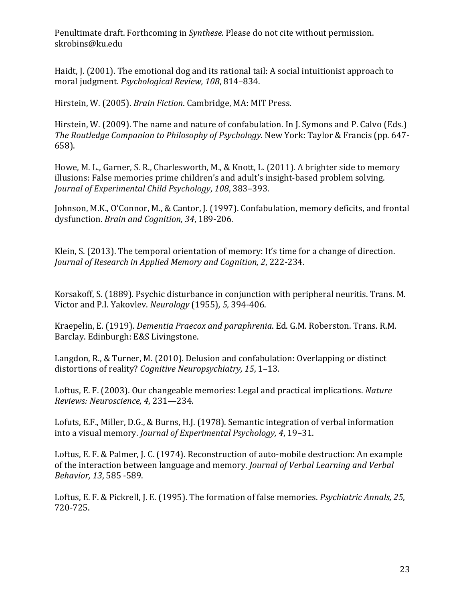Haidt, J. (2001). The emotional dog and its rational tail: A social intuitionist approach to moral judgment. *Psychological Review, 108, 814-834.* 

Hirstein, W. (2005). *Brain Fiction*. Cambridge, MA: MIT Press.

Hirstein, W. (2009). The name and nature of confabulation. In J. Symons and P. Calvo (Eds.) *The Routledge Companion to Philosophy of Psychology*. New York: Taylor & Francis (pp. 647-658). 

Howe, M. L., Garner, S. R., Charlesworth, M., & Knott, L. (2011). A brighter side to memory illusions: False memories prime children's and adult's insight-based problem solving. *Journal of Experimental Child Psychology, 108, 383-393.* 

Johnson, M.K., O'Connor, M., & Cantor, J. (1997). Confabulation, memory deficits, and frontal dysfunction. *Brain and Cognition, 34*, 189-206. 

Klein, S. (2013). The temporal orientation of memory: It's time for a change of direction. Journal of Research in Applied Memory and Cognition, 2, 222-234.

Korsakoff, S. (1889). Psychic disturbance in conjunction with peripheral neuritis. Trans. M. Victor and P.I. Yakovlev. *Neurology* (1955), 5, 394-406.

Kraepelin, E. (1919). *Dementia Praecox and paraphrenia*. Ed. G.M. Roberston. Trans. R.M. Barclay. Edinburgh: E&S Livingstone.

Langdon, R., & Turner, M. (2010). Delusion and confabulation: Overlapping or distinct distortions of reality? *Cognitive Neuropsychiatry, 15*, 1–13.

Loftus, E. F. (2003). Our changeable memories: Legal and practical implications. *Nature Reviews: Neuroscience, 4*, 231—234.

Lofuts, E.F., Miller, D.G., & Burns, H.J. (1978). Semantic integration of verbal information into a visual memory. *Journal of Experimental Psychology, 4,* 19–31.

Loftus, E. F. & Palmer, J. C. (1974). Reconstruction of auto-mobile destruction: An example of the interaction between language and memory. *Journal of Verbal Learning and Verbal Behavior, 13*, 585 -589.

Loftus, E. F. & Pickrell, J. E. (1995). The formation of false memories. *Psychiatric Annals, 25*, 720-725.